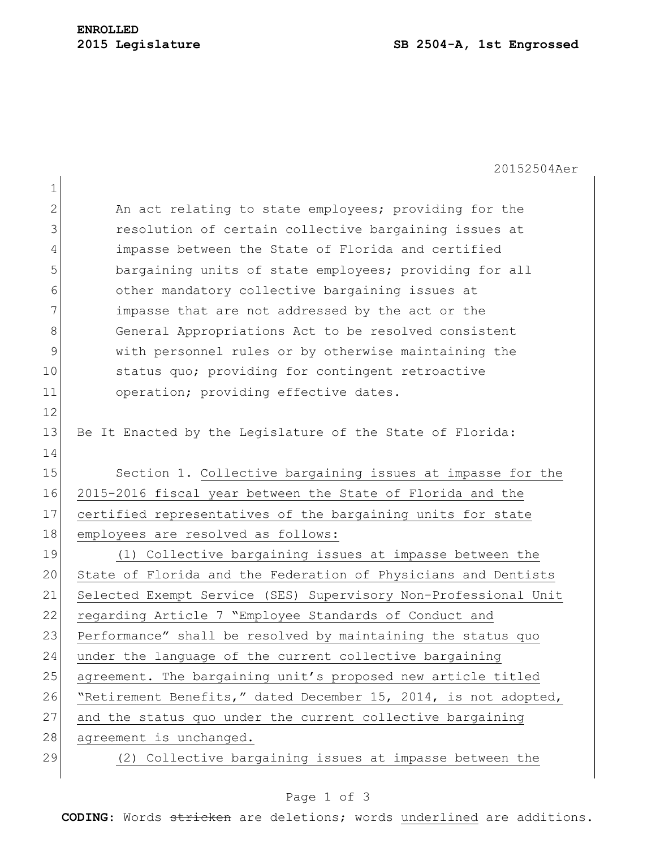|              | 20152504Aer                                                     |
|--------------|-----------------------------------------------------------------|
| $\mathbf 1$  |                                                                 |
| $\mathbf{2}$ | An act relating to state employees; providing for the           |
| 3            | resolution of certain collective bargaining issues at           |
| 4            | impasse between the State of Florida and certified              |
| 5            | bargaining units of state employees; providing for all          |
| 6            | other mandatory collective bargaining issues at                 |
| 7            | impasse that are not addressed by the act or the                |
| 8            | General Appropriations Act to be resolved consistent            |
| 9            | with personnel rules or by otherwise maintaining the            |
| 10           | status quo; providing for contingent retroactive                |
| 11           | operation; providing effective dates.                           |
| 12           |                                                                 |
| 13           | Be It Enacted by the Legislature of the State of Florida:       |
| 14           |                                                                 |
| 15           | Section 1. Collective bargaining issues at impasse for the      |
| 16           | 2015-2016 fiscal year between the State of Florida and the      |
| 17           | certified representatives of the bargaining units for state     |
| 18           | employees are resolved as follows:                              |
| 19           | (1) Collective bargaining issues at impasse between the         |
| 20           | State of Florida and the Federation of Physicians and Dentists  |
| 21           | Selected Exempt Service (SES) Supervisory Non-Professional Unit |
| 22           | regarding Article 7 "Employee Standards of Conduct and          |
| 23           | Performance" shall be resolved by maintaining the status quo    |
| 24           | under the language of the current collective bargaining         |
| 25           | agreement. The bargaining unit's proposed new article titled    |
| 26           | "Retirement Benefits," dated December 15, 2014, is not adopted, |
| 27           | and the status quo under the current collective bargaining      |
| 28           | agreement is unchanged.                                         |
| 29           | (2) Collective bargaining issues at impasse between the         |
|              |                                                                 |

## Page 1 of 3

**CODING**: Words stricken are deletions; words underlined are additions.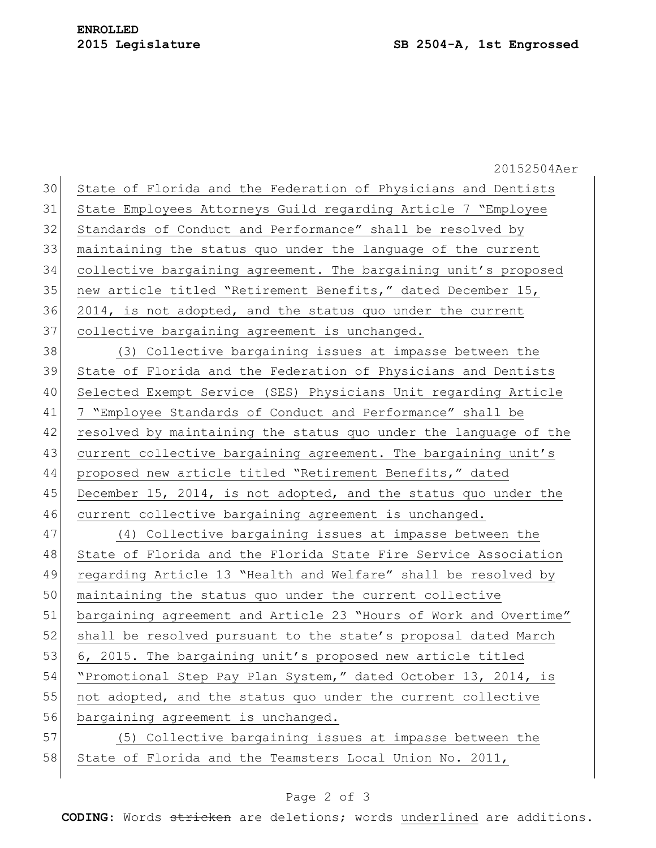20152504Aer 30 State of Florida and the Federation of Physicians and Dentists 31 State Employees Attorneys Guild regarding Article 7 "Employee 32 Standards of Conduct and Performance" shall be resolved by 33 maintaining the status quo under the language of the current 34 collective bargaining agreement. The bargaining unit's proposed 35 new article titled "Retirement Benefits," dated December 15, 36 2014, is not adopted, and the status quo under the current 37 collective bargaining agreement is unchanged. 38 (3) Collective bargaining issues at impasse between the 39 State of Florida and the Federation of Physicians and Dentists 40 Selected Exempt Service (SES) Physicians Unit regarding Article 41 7 "Employee Standards of Conduct and Performance" shall be 42 resolved by maintaining the status quo under the language of the 43 current collective bargaining agreement. The bargaining unit's 44 proposed new article titled "Retirement Benefits," dated 45 December 15, 2014, is not adopted, and the status quo under the 46 current collective bargaining agreement is unchanged. 47 (4) Collective bargaining issues at impasse between the 48 State of Florida and the Florida State Fire Service Association 49 regarding Article 13 "Health and Welfare" shall be resolved by 50 maintaining the status quo under the current collective 51 bargaining agreement and Article 23 "Hours of Work and Overtime" 52 shall be resolved pursuant to the state's proposal dated March 53 6, 2015. The bargaining unit's proposed new article titled 54 "Promotional Step Pay Plan System," dated October 13, 2014, is 55 not adopted, and the status quo under the current collective 56 bargaining agreement is unchanged. 57 (5) Collective bargaining issues at impasse between the 58 State of Florida and the Teamsters Local Union No. 2011,

## Page 2 of 3

**CODING**: Words stricken are deletions; words underlined are additions.